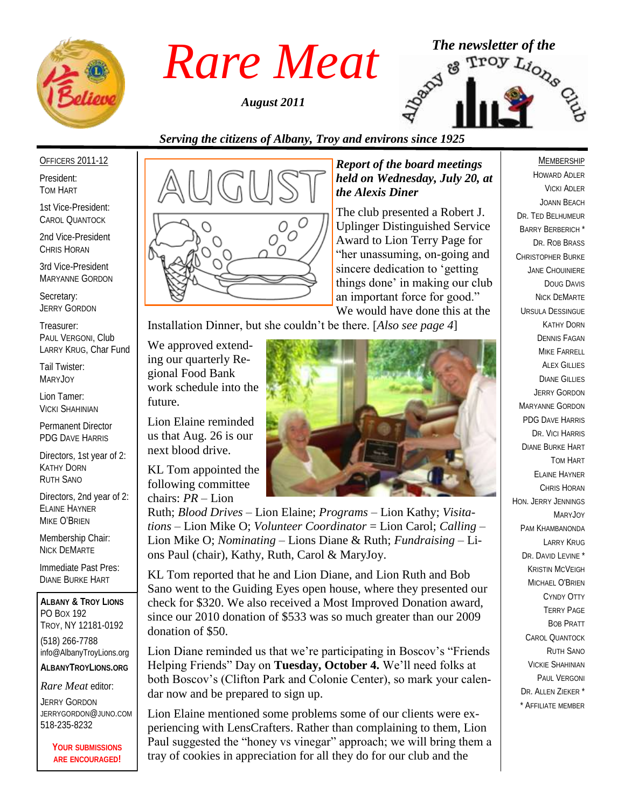

*August 2011*



# *Serving the citizens of Albany, Troy and environs since 1925*

OFFICERS 2011-12

President: TOM HART

1st Vice-President: CAROL QUANTOCK

2nd Vice-President CHRIS HORAN

3rd Vice-President MARYANNE GORDON

Secretary: JERRY GORDON

Treasurer: PAUL VERGONI, Club LARRY KRUG, Char Fund

Tail Twister: MARYJOY

Lion Tamer: VICKI SHAHINIAN

Permanent Director PDG DAVE HARRIS

Directors, 1st year of 2: KATHY DORN RUTH SANO

Directors, 2nd year of 2: ELAINE HAYNER MIKE O'BRIEN

Membership Chair: NICK DEMARTE

Immediate Past Pres: DIANE BURKE HART

**ALBANY & TROY LIONS** PO BOX 192 TROY, NY 12181-0192 (518) 266-7788 info@AlbanyTroyLions.org **ALBANYTROYLIONS.ORG**

*Rare Meat* editor:

JERRY GORDON JERRYGORDON@JUNO.COM 518-235-8232

> **YOUR SUBMISSIONS ARE ENCOURAGED!**



*Report of the board meetings held on Wednesday, July 20, at the Alexis Diner* 

The club presented a Robert J. Uplinger Distinguished Service Award to Lion Terry Page for "her unassuming, on-going and sincere dedication to "getting things done" in making our club an important force for good." We would have done this at the

Installation Dinner, but she couldn"t be there. [*Also see page 4*]

We approved extending our quarterly Regional Food Bank work schedule into the future.

Lion Elaine reminded us that Aug. 26 is our next blood drive.

KL Tom appointed the following committee chairs: *PR* – Lion



Ruth; *Blood Drives* – Lion Elaine; *Programs* – Lion Kathy; *Visitations* – Lion Mike O; *Volunteer Coordinator* = Lion Carol; *Calling* – Lion Mike O; *Nominating* – Lions Diane & Ruth; *Fundraising* – Lions Paul (chair), Kathy, Ruth, Carol & MaryJoy.

KL Tom reported that he and Lion Diane, and Lion Ruth and Bob Sano went to the Guiding Eyes open house, where they presented our check for \$320. We also received a Most Improved Donation award, since our 2010 donation of \$533 was so much greater than our 2009 donation of \$50.

Lion Diane reminded us that we're participating in Boscov's "Friends" Helping Friends" Day on **Tuesday, October 4.** We"ll need folks at both Boscov"s (Clifton Park and Colonie Center), so mark your calendar now and be prepared to sign up.

Lion Elaine mentioned some problems some of our clients were experiencing with LensCrafters. Rather than complaining to them, Lion Paul suggested the "honey vs vinegar" approach; we will bring them a tray of cookies in appreciation for all they do for our club and the

#### **MEMBERSHIP**

HOWARD ADLER VICKI ADLER JOANN BEACH DR. TED BELHUMEUR BARRY BERBERICH \* DR. ROB BRASS CHRISTOPHER BURKE JANE CHOUINIERE DOUG DAVIS NICK DEMARTE URSULA DESSINGUE KATHY DORN DENNIS FAGAN MIKE FARRELL **ALEX GILLIES** DIANE GILLIES JERRY GORDON MARYANNE GORDON PDG DAVE HARRIS DR. VICI HARRIS DIANE BURKE HART TOM HART ELAINE HAYNER CHRIS HORAN HON. JERRY JENNINGS MARYJOY PAM KHAMBANONDA LARRY KRUG DR. DAVID LEVINE \* KRISTIN MCVEIGH MICHAEL O'BRIEN CYNDY OTTY TERRY PAGE BOB PRATT CAROL QUANTOCK RUTH SANO VICKIE SHAHINIAN PAUL VERGONI DR. ALLEN ZIEKER \* \* AFFILIATE MEMBER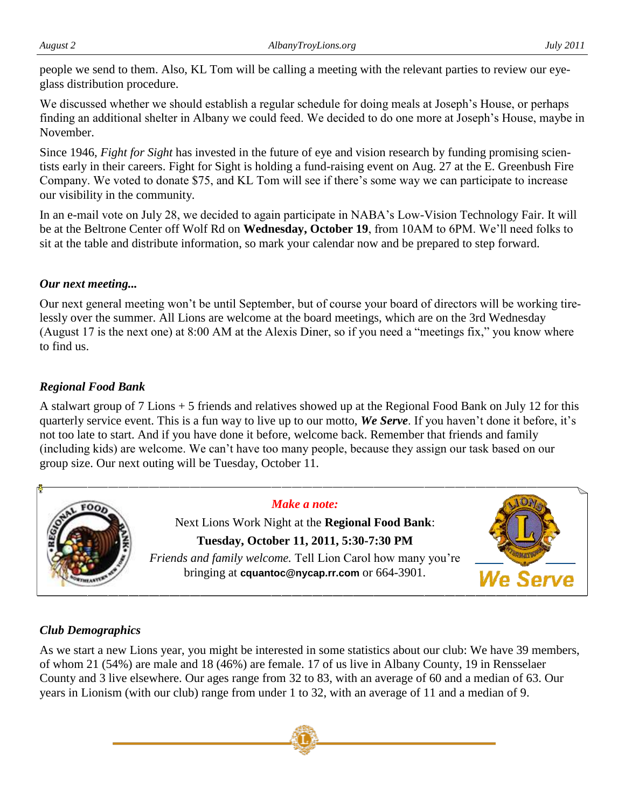people we send to them. Also, KL Tom will be calling a meeting with the relevant parties to review our eyeglass distribution procedure.

We discussed whether we should establish a regular schedule for doing meals at Joseph's House, or perhaps finding an additional shelter in Albany we could feed. We decided to do one more at Joseph"s House, maybe in November.

Since 1946, *Fight for Sight* has invested in the future of eye and vision research by funding promising scientists early in their careers. Fight for Sight is holding a fund-raising event on Aug. 27 at the E. Greenbush Fire Company. We voted to donate \$75, and KL Tom will see if there"s some way we can participate to increase our visibility in the community.

In an e-mail vote on July 28, we decided to again participate in NABA"s Low-Vision Technology Fair. It will be at the Beltrone Center off Wolf Rd on **Wednesday, October 19**, from 10AM to 6PM. We"ll need folks to sit at the table and distribute information, so mark your calendar now and be prepared to step forward.

# *Our next meeting...*

Our next general meeting won"t be until September, but of course your board of directors will be working tirelessly over the summer. All Lions are welcome at the board meetings, which are on the 3rd Wednesday (August 17 is the next one) at 8:00 AM at the Alexis Diner, so if you need a "meetings fix," you know where to find us.

# *Regional Food Bank*

A stalwart group of 7 Lions + 5 friends and relatives showed up at the Regional Food Bank on July 12 for this quarterly service event. This is a fun way to live up to our motto, We Serve. If you haven't done it before, it's not too late to start. And if you have done it before, welcome back. Remember that friends and family (including kids) are welcome. We can"t have too many people, because they assign our task based on our group size. Our next outing will be Tuesday, October 11.



# *Club Demographics*

As we start a new Lions year, you might be interested in some statistics about our club: We have 39 members, of whom 21 (54%) are male and 18 (46%) are female. 17 of us live in Albany County, 19 in Rensselaer County and 3 live elsewhere. Our ages range from 32 to 83, with an average of 60 and a median of 63. Our years in Lionism (with our club) range from under 1 to 32, with an average of 11 and a median of 9.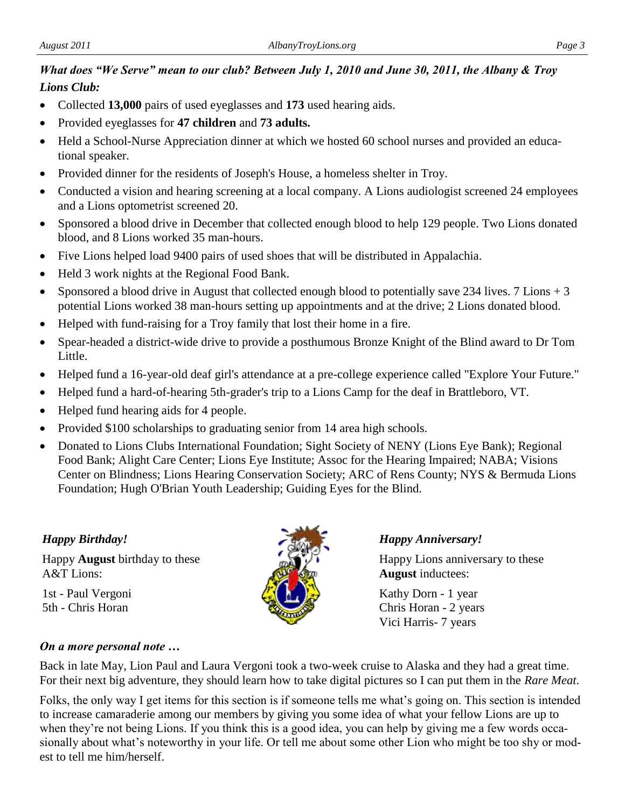# *What does "We Serve" mean to our club? Between July 1, 2010 and June 30, 2011, the Albany & Troy Lions Club:*

- Collected **13,000** pairs of used eyeglasses and **173** used hearing aids.
- Provided eyeglasses for **47 children** and **73 adults.**
- Held a School-Nurse Appreciation dinner at which we hosted 60 school nurses and provided an educational speaker.
- Provided dinner for the residents of Joseph's House, a homeless shelter in Troy.
- Conducted a vision and hearing screening at a local company. A Lions audiologist screened 24 employees and a Lions optometrist screened 20.
- Sponsored a blood drive in December that collected enough blood to help 129 people. Two Lions donated blood, and 8 Lions worked 35 man-hours.
- Five Lions helped load 9400 pairs of used shoes that will be distributed in Appalachia.
- Held 3 work nights at the Regional Food Bank.
- Sponsored a blood drive in August that collected enough blood to potentially save 234 lives. 7 Lions  $+3$ potential Lions worked 38 man-hours setting up appointments and at the drive; 2 Lions donated blood.
- Helped with fund-raising for a Troy family that lost their home in a fire.
- Spear-headed a district-wide drive to provide a posthumous Bronze Knight of the Blind award to Dr Tom Little.
- Helped fund a 16-year-old deaf girl's attendance at a pre-college experience called "Explore Your Future."
- Helped fund a hard-of-hearing 5th-grader's trip to a Lions Camp for the deaf in Brattleboro, VT.
- Helped fund hearing aids for 4 people.
- Provided \$100 scholarships to graduating senior from 14 area high schools.
- Donated to Lions Clubs International Foundation; Sight Society of NENY (Lions Eye Bank); Regional Food Bank; Alight Care Center; Lions Eye Institute; Assoc for the Hearing Impaired; NABA; Visions Center on Blindness; Lions Hearing Conservation Society; ARC of Rens County; NYS & Bermuda Lions Foundation; Hugh O'Brian Youth Leadership; Guiding Eyes for the Blind.

### *Happy Birthday!*

Happy **August** birthday to these A&T Lions:

1st - Paul Vergoni 5th - Chris Horan



### *Happy Anniversary!*

Happy Lions anniversary to these **August** inductees:

Kathy Dorn - 1 year Chris Horan - 2 years Vici Harris- 7 years

### *On a more personal note …*

Back in late May, Lion Paul and Laura Vergoni took a two-week cruise to Alaska and they had a great time. For their next big adventure, they should learn how to take digital pictures so I can put them in the *Rare Meat*.

Folks, the only way I get items for this section is if someone tells me what's going on. This section is intended to increase camaraderie among our members by giving you some idea of what your fellow Lions are up to when they're not being Lions. If you think this is a good idea, you can help by giving me a few words occasionally about what's noteworthy in your life. Or tell me about some other Lion who might be too shy or modest to tell me him/herself.